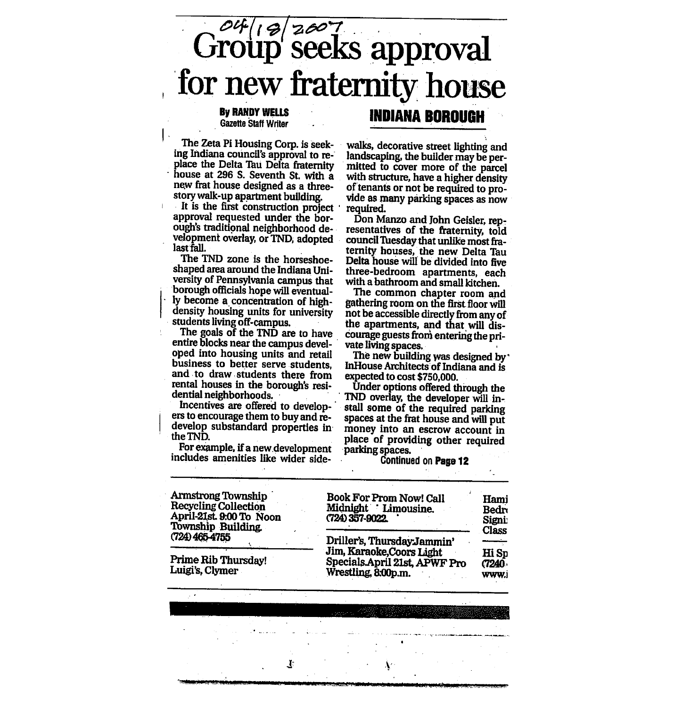# $\overline{G^{\alpha \beta}$ ( $\beta$ |  $\overline{z^{\alpha \gamma}}$  seeks approval for new fraternity house

### Gazette Staff Writer

The Zeta Pi Housing Corp. is seek ing Indiana council's approval to re place the Delta Tau Delta fraternity house at 296 S. Seventh St. with a new frat house designed as a threestory walk-up apartment building.

It is the first construction project approval requested under the bor ough's traditional neighborhood de velopment overlay, or TND, adopted last fall.

The TND zone is the horseshoeshaped area around the Indiana Uni versity of Pennsylvania campus that borough officials hope will eventual ly become a concentration of highdensity housing units for university students living off-campus.

The goals of the TND are to have entire blocks near the campus devel-<br>oped into housing units and retail business to better serve students, and to draw students there from rental houses in the borough's resi dential neighborhoods.

Incentives are offered to develop-' ers to encourage them to buy and re develop substandard properties in theTND.

For example, if a new.development includes amenities like wider side walks, decorative street lighting and landscaping, the builder may be per mitted to cover more of the parcel with structure, have a higher density of tenants or not be required to pro vide as many parking spaces as now required.

INDIANA BOROUGH

Don Manzo and John Geisler, rep resentatives of the fraternity, told council Tuesday that unlike most fra-<br>ternity houses, the new Delta Tau Delta house will be divided into five three-bedroom apartments, each with a bathroom and small kitchen.

The common chapter room and gathering room on the first floor will not be accessible directly from any of the apartments, and that will dis courage guests from entering the pri vate living spaces.

The new building was designed by' InHouse Architects of Indiana and is expected to cost \$750,000.

Under options offered through the TND overlay, the developer will in stall some of the required parking spaces at the frat house and will put money into an escrow account in place of providing other required parking spaces.

#### Continued on Page 12

Armstrong Township

Book For Property Called the Property Called and Property Called and Property Called and Property Called and P